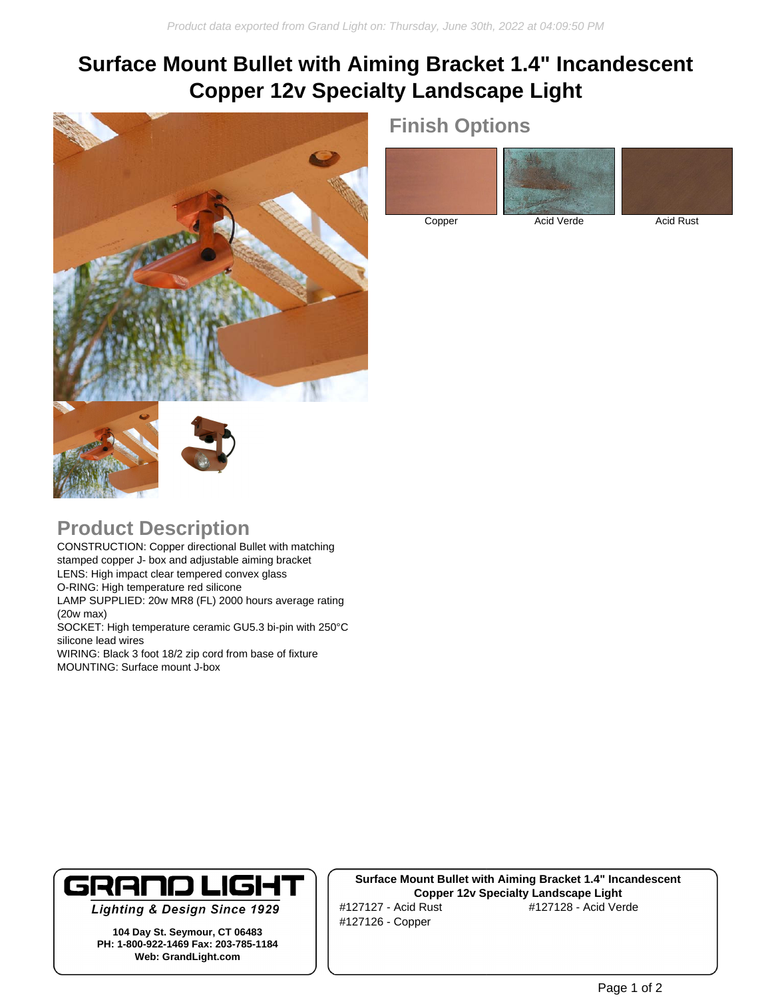## **Surface Mount Bullet with Aiming Bracket 1.4" Incandescent Copper 12v Specialty Landscape Light**



# **Finish Options**

Copper Acid Verde Acid Rust

#### **Product Description**

CONSTRUCTION: Copper directional Bullet with matching stamped copper J- box and adjustable aiming bracket LENS: High impact clear tempered convex glass O-RING: High temperature red silicone LAMP SUPPLIED: 20w MR8 (FL) 2000 hours average rating (20w max) SOCKET: High temperature ceramic GU5.3 bi-pin with 250°C silicone lead wires

WIRING: Black 3 foot 18/2 zip cord from base of fixture MOUNTING: Surface mount J-box



**Lighting & Design Since 1929** 

**104 Day St. Seymour, CT 06483 PH: 1-800-922-1469 Fax: 203-785-1184 Web: GrandLight.com**

**Surface Mount Bullet with Aiming Bracket 1.4" Incandescent Copper 12v Specialty Landscape Light** #127127 - Acid Rust #127128 - Acid Verde #127126 - Copper